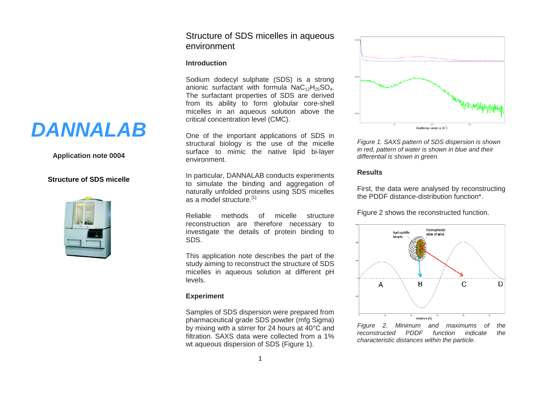# *DANNALAB*

### **Application note 0004**

#### **Structure of SDS micelle**



# Structure of SDS micelles in aqueous environment

## **Introduction**

Sodium dodecyl sulphate (SDS) is a strong anionic surfactant with formula  $NaC_{12}H_{25}SO_4$ . The surfactant properties of SDS are derived from its ability to form globular core-shell micelles in an aqueous solution above the critical concentration level (CMC).

One of the important applications of SDS in structural biology is the use of the micelle surface to mimic the native lipid bi-layer environment.

In particular, DANNALAB conducts experiments to simulate the binding and aggregation of naturally unfolded proteins using SDS micelles as a model structure.<sup>[1]</sup>

Reliable methods of micelle structure reconstruction are therefore necessary to investigate the details of protein binding to SDS.

This application note describes the part of the study aiming to reconstruct the structure of SDS micelles in aqueous solution at different pH levels.

## **Experiment**

Samples of SDS dispersion were prepared from pharmaceutical grade SDS powder (mfg Sigma) by mixing with a stirrer for 24 hours at 40°C and filtration. SAXS data were collected from a 1% wt aqueous dispersion of SDS (Figure 1).



*Figure 1. SAXS pattern of SDS dispersion is shown in red, pattern of water is shown in blue and their differential is shown in green.*

## **Results**

First, the data were analysed by reconstructing the PDDF distance-distribution function\*.

Figure 2 shows the reconstructed function.



*Figure 2. Minimum and maximums of the reconstructed PDDF function indicate the characteristic distances within the particle.*